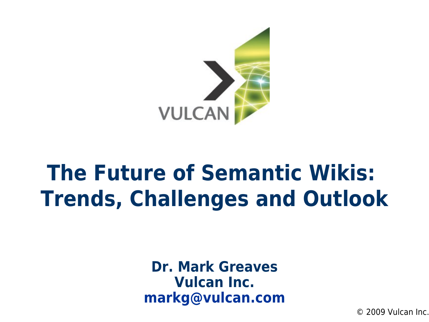

# **The Future of Semantic Wikis: Trends, Challenges and Outlook**

**Dr. Mark Greaves Vulcan Inc. [markg@vulcan.com](mailto:markg@vulcan.com)**

© 2009 Vulcan Inc.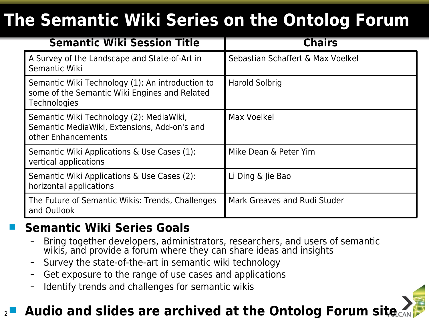## **The Semantic Wiki Series on the Ontolog Forum**

| <b>Semantic Wiki Session Title</b>                                                                                | <b>Chairs</b>                     |
|-------------------------------------------------------------------------------------------------------------------|-----------------------------------|
| A Survey of the Landscape and State-of-Art in<br>Semantic Wiki                                                    | Sebastian Schaffert & Max Voelkel |
| Semantic Wiki Technology (1): An introduction to<br>some of the Semantic Wiki Engines and Related<br>Technologies | Harold Solbrig                    |
| Semantic Wiki Technology (2): MediaWiki,<br>Semantic MediaWiki, Extensions, Add-on's and<br>other Enhancements    | Max Voelkel                       |
| Semantic Wiki Applications & Use Cases (1):<br>vertical applications                                              | Mike Dean & Peter Yim             |
| Semantic Wiki Applications & Use Cases (2):<br>horizontal applications                                            | Li Ding & Jie Bao                 |
| The Future of Semantic Wikis: Trends, Challenges<br>and Outlook                                                   | Mark Greaves and Rudi Studer      |

#### **Semantic Wiki Series Goals**

- Bring together developers, administrators, researchers, and users of semantic wikis, and provide a forum where they can share ideas and insights
- Survey the state-of-the-art in semantic wiki technology
- Get exposure to the range of use cases and applications
- Identify trends and challenges for semantic wikis

#### 2 **Audio and slides are archived at the Ontolog Forum site**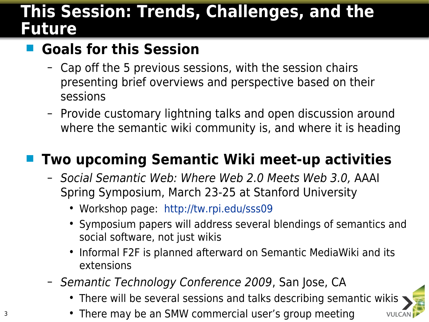#### **This Session: Trends, Challenges, and the Future**

#### **Goals for this Session**

- Cap off the 5 previous sessions, with the session chairs presenting brief overviews and perspective based on their sessions
- Provide customary lightning talks and open discussion around where the semantic wiki community is, and where it is heading

### **Two upcoming Semantic Wiki meet-up activities**

- Social Semantic Web: Where Web 2.0 Meets Web 3.0, AAAI Spring Symposium, March 23-25 at Stanford University
	- Workshop page: <http://tw.rpi.edu/sss09>
	- Symposium papers will address several blendings of semantics and social software, not just wikis
	- Informal F2F is planned afterward on Semantic MediaWiki and its extensions
- Semantic Technology Conference 2009, San Jose, CA
	- There will be several sessions and talks describing semantic wikis
	- There may be an SMW commercial user's group meeting